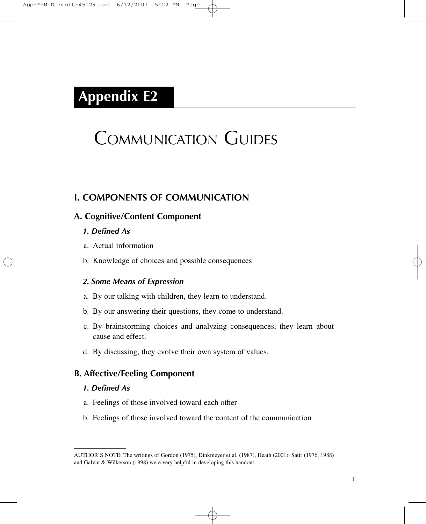# **Appendix E2**

# COMMUNICATION GUIDES

# **I. COMPONENTS OF COMMUNICATION**

#### **A. Cognitive/Content Component**

#### *1. Defined As*

- a. Actual information
- b. Knowledge of choices and possible consequences

#### *2. Some Means of Expression*

- a. By our talking with children, they learn to understand.
- b. By our answering their questions, they come to understand.
- c. By brainstorming choices and analyzing consequences, they learn about cause and effect.
- d. By discussing, they evolve their own system of values.

## **B. Affective/Feeling Component**

#### *1. Defined As*

- a. Feelings of those involved toward each other
- b. Feelings of those involved toward the content of the communication

AUTHOR'S NOTE: The writings of Gordon (1975), Dinkmeyer et al. (1987), Heath (2001), Satir (1976, 1988) and Galvin & Wilkerson (1998) were very helpful in developing this handout.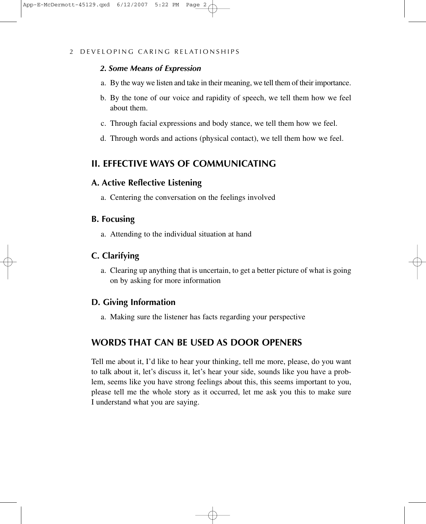#### *2. Some Means of Expression*

- a. By the way we listen and take in their meaning, we tell them of their importance.
- b. By the tone of our voice and rapidity of speech, we tell them how we feel about them.
- c. Through facial expressions and body stance, we tell them how we feel.
- d. Through words and actions (physical contact), we tell them how we feel.

# **II. EFFECTIVE WAYS OF COMMUNICATING**

#### **A. Active Reflective Listening**

a. Centering the conversation on the feelings involved

#### **B. Focusing**

a. Attending to the individual situation at hand

## **C. Clarifying**

a. Clearing up anything that is uncertain, to get a better picture of what is going on by asking for more information

#### **D. Giving Information**

a. Making sure the listener has facts regarding your perspective

# **WORDS THAT CAN BE USED AS DOOR OPENERS**

Tell me about it, I'd like to hear your thinking, tell me more, please, do you want to talk about it, let's discuss it, let's hear your side, sounds like you have a problem, seems like you have strong feelings about this, this seems important to you, please tell me the whole story as it occurred, let me ask you this to make sure I understand what you are saying.